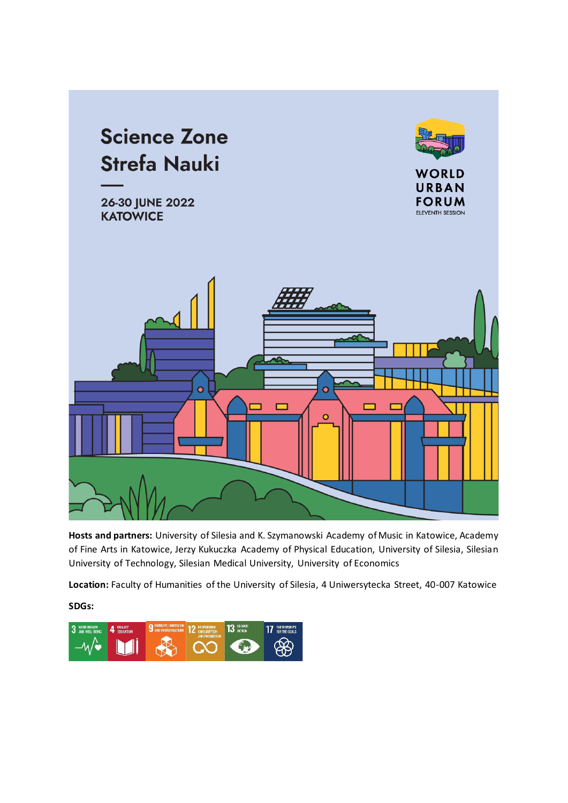

**Hosts and partners:** University of Silesia and K. Szymanowski Academy of Music in Katowice, Academy of Fine Arts in Katowice, Jerzy Kukuczka Academy of Physical Education, University of Silesia, Silesian University of Technology, Silesian Medical University, University of Economics

**Location:** Faculty of Humanities of the University of Silesia, 4 Uniwersytecka Street, 40-007 Katowice

**SDGs:**